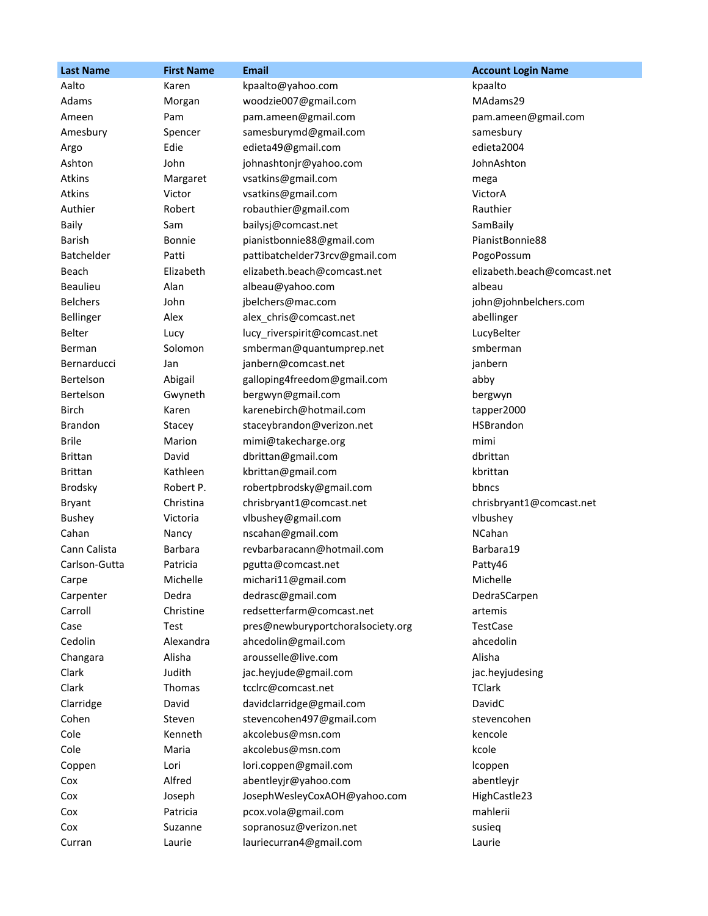| <b>Last Name</b> | <b>First Name</b> | Email                             | <b>Account Login Name</b>   |
|------------------|-------------------|-----------------------------------|-----------------------------|
| Aalto            | Karen             | kpaalto@yahoo.com                 | kpaalto                     |
| Adams            | Morgan            | woodzie007@gmail.com              | MAdams29                    |
| Ameen            | Pam               | pam.ameen@gmail.com               | pam.ameen@gmail.com         |
| Amesbury         | Spencer           | samesburymd@gmail.com             | samesbury                   |
| Argo             | Edie              | edieta49@gmail.com                | edieta2004                  |
| Ashton           | John              | johnashtonjr@yahoo.com            | JohnAshton                  |
| <b>Atkins</b>    | Margaret          | vsatkins@gmail.com                | mega                        |
| Atkins           | Victor            | vsatkins@gmail.com                | VictorA                     |
| Authier          | Robert            | robauthier@gmail.com              | Rauthier                    |
| Baily            | Sam               | bailysj@comcast.net               | SamBaily                    |
| Barish           | <b>Bonnie</b>     | pianistbonnie88@gmail.com         | PianistBonnie88             |
| Batchelder       | Patti             | pattibatchelder73rcv@gmail.com    | PogoPossum                  |
| Beach            | Elizabeth         | elizabeth.beach@comcast.net       | elizabeth.beach@comcast.net |
| <b>Beaulieu</b>  | Alan              | albeau@yahoo.com                  | albeau                      |
| <b>Belchers</b>  | John              | jbelchers@mac.com                 | john@johnbelchers.com       |
| Bellinger        | Alex              | alex chris@comcast.net            | abellinger                  |
| Belter           | Lucy              | lucy_riverspirit@comcast.net      | LucyBelter                  |
| Berman           | Solomon           | smberman@quantumprep.net          | smberman                    |
| Bernarducci      | Jan               | janbern@comcast.net               | janbern                     |
| Bertelson        | Abigail           | galloping4freedom@gmail.com       | abby                        |
| Bertelson        | Gwyneth           | bergwyn@gmail.com                 | bergwyn                     |
| <b>Birch</b>     | Karen             | karenebirch@hotmail.com           | tapper2000                  |
| Brandon          | Stacey            | staceybrandon@verizon.net         | HSBrandon                   |
| <b>Brile</b>     | Marion            | mimi@takecharge.org               | mimi                        |
| <b>Brittan</b>   | David             | dbrittan@gmail.com                | dbrittan                    |
| <b>Brittan</b>   | Kathleen          | kbrittan@gmail.com                | kbrittan                    |
| <b>Brodsky</b>   | Robert P.         | robertpbrodsky@gmail.com          | bbncs                       |
| <b>Bryant</b>    | Christina         | chrisbryant1@comcast.net          | chrisbryant1@comcast.net    |
| <b>Bushey</b>    | Victoria          | vlbushey@gmail.com                | vlbushey                    |
| Cahan            | Nancy             | nscahan@gmail.com                 | NCahan                      |
| Cann Calista     | <b>Barbara</b>    | revbarbaracann@hotmail.com        | Barbara19                   |
| Carlson-Gutta    | Patricia          | pgutta@comcast.net                | Patty46                     |
| Carpe            | Michelle          | michari11@gmail.com               | Michelle                    |
| Carpenter        | Dedra             | dedrasc@gmail.com                 | DedraSCarpen                |
| Carroll          | Christine         | redsetterfarm@comcast.net         | artemis                     |
| Case             | Test              | pres@newburyportchoralsociety.org | TestCase                    |
| Cedolin          | Alexandra         | ahcedolin@gmail.com               | ahcedolin                   |
| Changara         | Alisha            | arousselle@live.com               | Alisha                      |
| Clark            | Judith            | jac.heyjude@gmail.com             | jac.heyjudesing             |
| Clark            | Thomas            | tcclrc@comcast.net                | <b>TClark</b>               |
| Clarridge        | David             | davidclarridge@gmail.com          | DavidC                      |
| Cohen            | Steven            | stevencohen497@gmail.com          | stevencohen                 |
| Cole             | Kenneth           | akcolebus@msn.com                 | kencole                     |
| Cole             | Maria             | akcolebus@msn.com                 | kcole                       |
| Coppen           | Lori              | lori.coppen@gmail.com             | Icoppen                     |
| Cox              | Alfred            | abentleyjr@yahoo.com              | abentleyjr                  |
| Cox              | Joseph            | JosephWesleyCoxAOH@yahoo.com      | HighCastle23                |
| Cox              | Patricia          | pcox.vola@gmail.com               | mahlerii                    |
| Cox              | Suzanne           | sopranosuz@verizon.net            | susieq                      |
| Curran           | Laurie            | lauriecurran4@gmail.com           | Laurie                      |
|                  |                   |                                   |                             |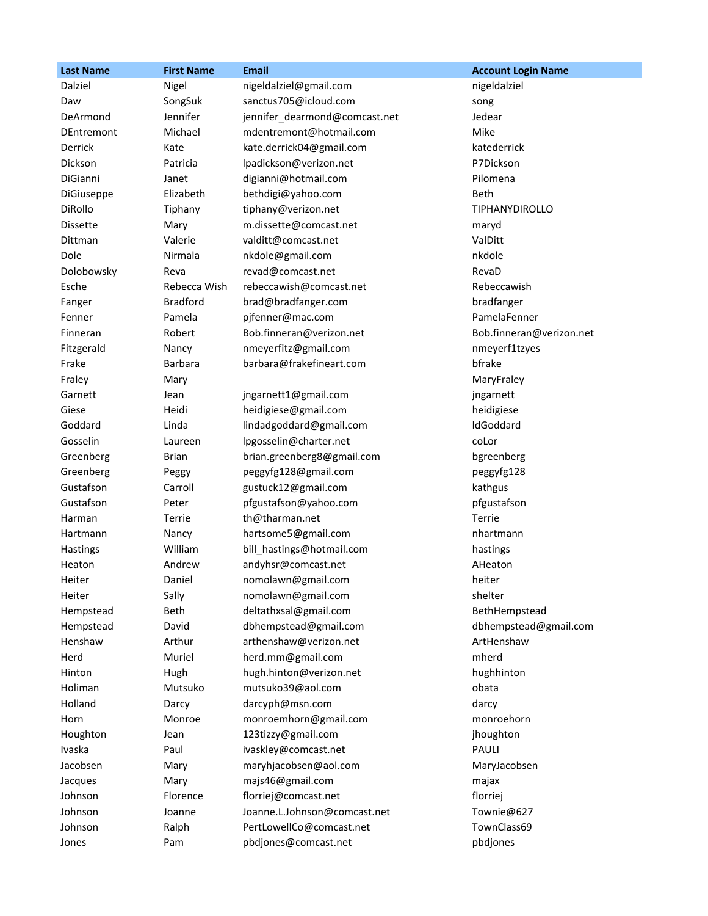| <b>Last Name</b>  | <b>First Name</b> | <b>Email</b>                  | <b>Account Login Name</b> |
|-------------------|-------------------|-------------------------------|---------------------------|
| Dalziel           | Nigel             | nigeldalziel@gmail.com        | nigeldalziel              |
| Daw               | SongSuk           | sanctus705@icloud.com         | song                      |
| DeArmond          | Jennifer          | jennifer_dearmond@comcast.net | Jedear                    |
| <b>DEntremont</b> | Michael           | mdentremont@hotmail.com       | Mike                      |
| Derrick           | Kate              | kate.derrick04@gmail.com      | katederrick               |
| Dickson           | Patricia          | lpadickson@verizon.net        | P7Dickson                 |
| DiGianni          | Janet             | digianni@hotmail.com          | Pilomena                  |
| DiGiuseppe        | Elizabeth         | bethdigi@yahoo.com            | Beth                      |
| DiRollo           | Tiphany           | tiphany@verizon.net           | <b>TIPHANYDIROLLO</b>     |
| <b>Dissette</b>   | Mary              | m.dissette@comcast.net        | maryd                     |
| Dittman           | Valerie           | valditt@comcast.net           | ValDitt                   |
| Dole              | Nirmala           | nkdole@gmail.com              | nkdole                    |
| Dolobowsky        | Reva              | revad@comcast.net             | RevaD                     |
| Esche             | Rebecca Wish      | rebeccawish@comcast.net       | Rebeccawish               |
| Fanger            | <b>Bradford</b>   | brad@bradfanger.com           | bradfanger                |
| Fenner            | Pamela            | pjfenner@mac.com              | PamelaFenner              |
| Finneran          | Robert            | Bob.finneran@verizon.net      | Bob.finneran@verizon.net  |
| Fitzgerald        | Nancy             | nmeyerfitz@gmail.com          | nmeyerf1tzyes             |
| Frake             | <b>Barbara</b>    | barbara@frakefineart.com      | bfrake                    |
| Fraley            | Mary              |                               | MaryFraley                |
| Garnett           | Jean              | jngarnett1@gmail.com          | jngarnett                 |
| Giese             | Heidi             | heidigiese@gmail.com          | heidigiese                |
| Goddard           | Linda             | lindadgoddard@gmail.com       | IdGoddard                 |
| Gosselin          | Laureen           | lpgosselin@charter.net        | coLor                     |
| Greenberg         | <b>Brian</b>      | brian.greenberg8@gmail.com    | bgreenberg                |
| Greenberg         | Peggy             | peggyfg128@gmail.com          | peggyfg128                |
| Gustafson         | Carroll           | gustuck12@gmail.com           | kathgus                   |
| Gustafson         | Peter             | pfgustafson@yahoo.com         | pfgustafson               |
| Harman            | Terrie            | th@tharman.net                | Terrie                    |
| Hartmann          | Nancy             | hartsome5@gmail.com           | nhartmann                 |
| Hastings          | William           | bill_hastings@hotmail.com     | hastings                  |
| Heaton            | Andrew            | andyhsr@comcast.net           | AHeaton                   |
| Heiter            | Daniel            | nomolawn@gmail.com            | heiter                    |
| Heiter            | Sally             | nomolawn@gmail.com            | shelter                   |
| Hempstead         | Beth              | deltathxsal@gmail.com         | BethHempstead             |
| Hempstead         | David             | dbhempstead@gmail.com         | dbhempstead@gmail.com     |
| Henshaw           | Arthur            | arthenshaw@verizon.net        | ArtHenshaw                |
| Herd              | Muriel            | herd.mm@gmail.com             | mherd                     |
| Hinton            | Hugh              | hugh.hinton@verizon.net       | hughhinton                |
| Holiman           | Mutsuko           | mutsuko39@aol.com             | obata                     |
| Holland           | Darcy             | darcyph@msn.com               | darcy                     |
| Horn              | Monroe            | monroemhorn@gmail.com         | monroehorn                |
| Houghton          | Jean              | 123tizzy@gmail.com            | jhoughton                 |
| Ivaska            | Paul              | ivaskley@comcast.net          | PAULI                     |
| Jacobsen          | Mary              | maryhjacobsen@aol.com         | MaryJacobsen              |
| Jacques           | Mary              | majs46@gmail.com              | majax                     |
| Johnson           | Florence          | florriej@comcast.net          | florriej                  |
| Johnson           | Joanne            | Joanne.L.Johnson@comcast.net  | Townie@627                |
| Johnson           | Ralph             | PertLowellCo@comcast.net      | TownClass69               |
| Jones             | Pam               | pbdjones@comcast.net          | pbdjones                  |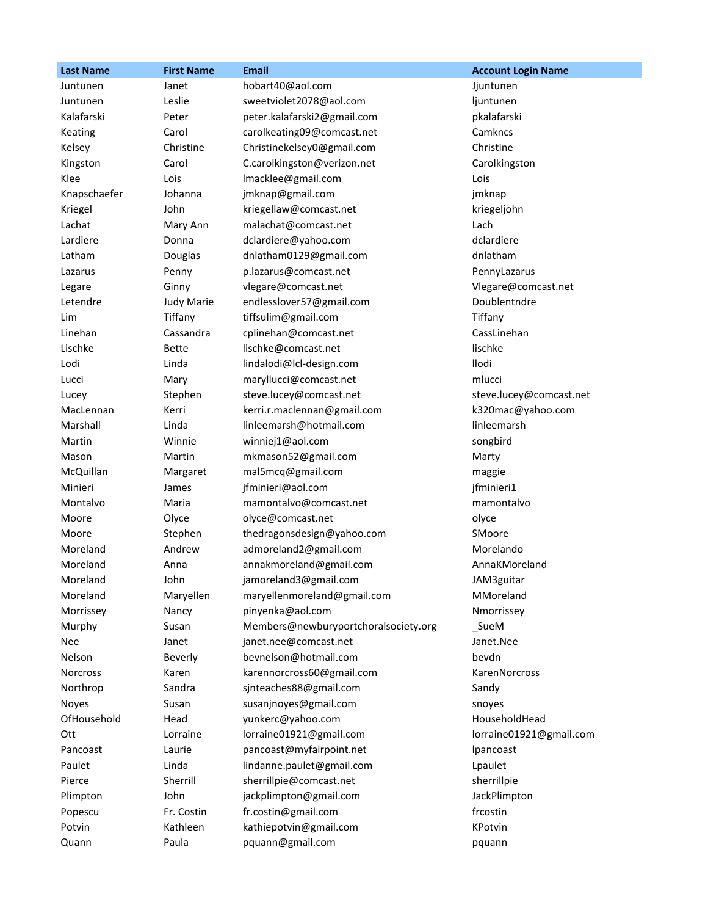| <b>Last Name</b> | <b>First Name</b> | <b>Email</b>                         | <b>Account Login Name</b> |
|------------------|-------------------|--------------------------------------|---------------------------|
| Juntunen         | Janet             | hobart40@aol.com                     | Jjuntunen                 |
| Juntunen         | Leslie            | sweetviolet2078@aol.com              | ljuntunen                 |
| Kalafarski       | Peter             | peter.kalafarski2@gmail.com          | pkalafarski               |
| Keating          | Carol             | carolkeating09@comcast.net           | Camkncs                   |
| Kelsey           | Christine         | Christinekelsey0@gmail.com           | Christine                 |
| Kingston         | Carol             | C.carolkingston@verizon.net          | Carolkingston             |
| Klee             | Lois              | Imacklee@gmail.com                   | Lois                      |
| Knapschaefer     | Johanna           | jmknap@gmail.com                     | jmknap                    |
| Kriegel          | John              | kriegellaw@comcast.net               | kriegeljohn               |
| Lachat           | Mary Ann          | malachat@comcast.net                 | Lach                      |
| Lardiere         | Donna             | dclardiere@yahoo.com                 | dclardiere                |
| Latham           | Douglas           | dnlatham0129@gmail.com               | dnlatham                  |
| Lazarus          | Penny             | p.lazarus@comcast.net                | PennyLazarus              |
| Legare           | Ginny             | vlegare@comcast.net                  | Vlegare@comcast.net       |
| Letendre         | <b>Judy Marie</b> | endlesslover57@gmail.com             | Doublentndre              |
| Lim              | Tiffany           | tiffsulim@gmail.com                  | Tiffany                   |
| Linehan          | Cassandra         | cplinehan@comcast.net                | CassLinehan               |
| Lischke          | <b>Bette</b>      | lischke@comcast.net                  | lischke                   |
| Lodi             | Linda             | lindalodi@lcl-design.com             | llodi                     |
| Lucci            | Mary              | maryllucci@comcast.net               | mlucci                    |
| Lucey            | Stephen           | steve.lucey@comcast.net              | steve.lucey@comcast.net   |
| MacLennan        | Kerri             | kerri.r.maclennan@gmail.com          | k320mac@yahoo.com         |
| Marshall         | Linda             | linleemarsh@hotmail.com              | linleemarsh               |
| Martin           | Winnie            | winniej1@aol.com                     | songbird                  |
| Mason            | Martin            | mkmason52@gmail.com                  | Marty                     |
| McQuillan        | Margaret          | mal5mcq@gmail.com                    | maggie                    |
| Minieri          | James             | jfminieri@aol.com                    | jfminieri1                |
| Montalvo         | Maria             | mamontalvo@comcast.net               | mamontalvo                |
| Moore            | Olyce             | olyce@comcast.net                    | olyce                     |
| Moore            | Stephen           | thedragonsdesign@yahoo.com           | SMoore                    |
| Moreland         | Andrew            | admoreland2@gmail.com                | Morelando                 |
| Moreland         | Anna              | annakmoreland@gmail.com              | AnnaKMoreland             |
| Moreland         | John              | jamoreland3@gmail.com                | JAM3guitar                |
| Moreland         | Maryellen         | maryellenmoreland@gmail.com          | MMoreland                 |
| Morrissey        | Nancy             | pinyenka@aol.com                     | Nmorrissey                |
| Murphy           | Susan             | Members@newburyportchoralsociety.org | _SueM                     |
| Nee              | Janet             | janet.nee@comcast.net                | Janet.Nee                 |
| Nelson           | Beverly           | bevnelson@hotmail.com                | bevdn                     |
| <b>Norcross</b>  | Karen             | karennorcross60@gmail.com            | KarenNorcross             |
| Northrop         | Sandra            | sjnteaches88@gmail.com               | Sandy                     |
| Noyes            | Susan             | susanjnoyes@gmail.com                | snoyes                    |
| OfHousehold      | Head              | yunkerc@yahoo.com                    | HouseholdHead             |
| Ott              | Lorraine          | lorraine01921@gmail.com              | lorraine01921@gmail.com   |
| Pancoast         | Laurie            | pancoast@myfairpoint.net             | <i>lpancoast</i>          |
| Paulet           | Linda             | lindanne.paulet@gmail.com            | Lpaulet                   |
| Pierce           | Sherrill          | sherrillpie@comcast.net              | sherrillpie               |
| Plimpton         | John              | jackplimpton@gmail.com               | JackPlimpton              |
| Popescu          | Fr. Costin        | fr.costin@gmail.com                  | frcostin                  |
| Potvin           | Kathleen          | kathiepotvin@gmail.com               | KPotvin                   |
| Quann            | Paula             | pquann@gmail.com                     | pquann                    |